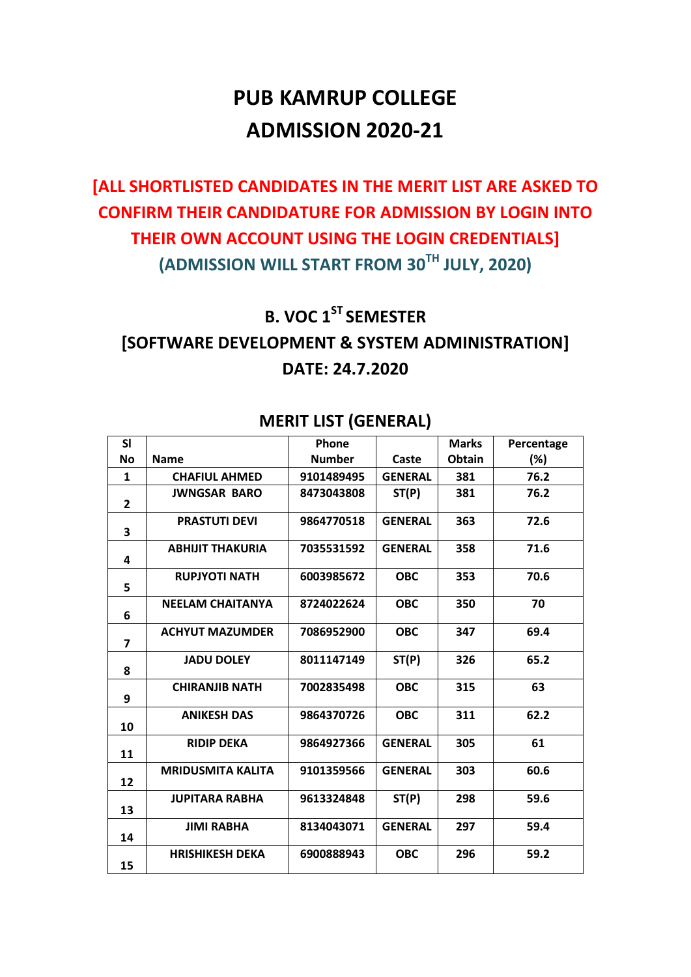# **PUB KAMRUP COLLEGE ADMISSION 2020-21**

## **[ALL SHORTLISTED CANDIDATES IN THE MERIT LIST ARE ASKED TO CONFIRM THEIR CANDIDATURE FOR ADMISSION BY LOGIN INTO THEIR OWN ACCOUNT USING THE LOGIN CREDENTIALS] (ADMISSION WILL START FROM 30TH JULY, 2020)**

#### **B. VOC 1 ST SEMESTER**

### **[SOFTWARE DEVELOPMENT & SYSTEM ADMINISTRATION] DATE: 24.7.2020**

| SI                      |                          | Phone         |                | <b>Marks</b> | Percentage |
|-------------------------|--------------------------|---------------|----------------|--------------|------------|
| <b>No</b>               | <b>Name</b>              | <b>Number</b> | Caste          | Obtain       | (%)        |
| 1                       | <b>CHAFIUL AHMED</b>     | 9101489495    | <b>GENERAL</b> | 381          | 76.2       |
| $\overline{2}$          | <b>JWNGSAR BARO</b>      | 8473043808    | ST(P)          | 381          | 76.2       |
| 3                       | <b>PRASTUTI DEVI</b>     | 9864770518    | <b>GENERAL</b> | 363          | 72.6       |
| 4                       | <b>ABHIJIT THAKURIA</b>  | 7035531592    | <b>GENERAL</b> | 358          | 71.6       |
| 5                       | <b>RUPJYOTI NATH</b>     | 6003985672    | <b>OBC</b>     | 353          | 70.6       |
| 6                       | <b>NEELAM CHAITANYA</b>  | 8724022624    | <b>OBC</b>     | 350          | 70         |
| $\overline{\mathbf{z}}$ | <b>ACHYUT MAZUMDER</b>   | 7086952900    | <b>OBC</b>     | 347          | 69.4       |
| 8                       | <b>JADU DOLEY</b>        | 8011147149    | ST(P)          | 326          | 65.2       |
| 9                       | <b>CHIRANJIB NATH</b>    | 7002835498    | <b>OBC</b>     | 315          | 63         |
| 10                      | <b>ANIKESH DAS</b>       | 9864370726    | <b>OBC</b>     | 311          | 62.2       |
| 11                      | <b>RIDIP DEKA</b>        | 9864927366    | <b>GENERAL</b> | 305          | 61         |
| 12                      | <b>MRIDUSMITA KALITA</b> | 9101359566    | <b>GENERAL</b> | 303          | 60.6       |
| 13                      | <b>JUPITARA RABHA</b>    | 9613324848    | ST(P)          | 298          | 59.6       |
| 14                      | <b>JIMI RABHA</b>        | 8134043071    | <b>GENERAL</b> | 297          | 59.4       |
| 15                      | <b>HRISHIKESH DEKA</b>   | 6900888943    | <b>OBC</b>     | 296          | 59.2       |

#### **MERIT LIST (GENERAL)**